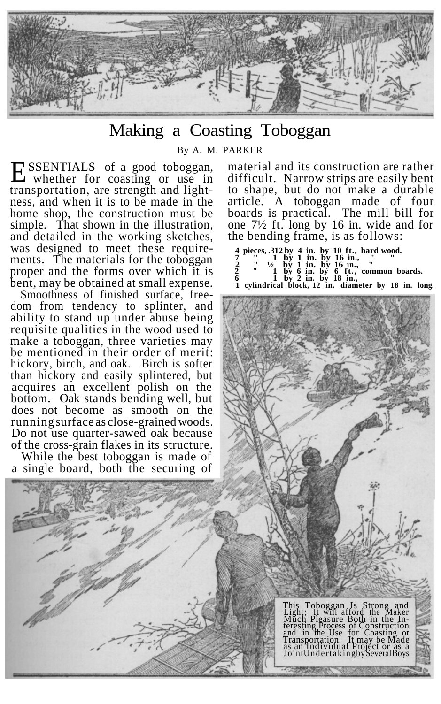

## Making a Coasting Toboggan

By A. M. PARKER

ESSENTIALS of a good toboggan,<br>whether for coasting or use in whether for coasting or use in transportation, are strength and lightness, and when it is to be made in the home shop, the construction must be simple. That shown in the illustration, and detailed in the working sketches, was designed to meet these requirements. The materials for the toboggan proper and the forms over which it is bent, may be obtained at small expense.

Smoothness of finished surface, freedom from tendency to splinter, and ability to stand up under abuse being requisite qualities in the wood used to make a toboggan, three varieties may be mentioned in their order of merit: hickory, birch, and oak. Birch is softer than hickory and easily splintered, but acquires an excellent polish on the bottom. Oak stands bending well, but does not become as smooth on the running surface as close-grained woods. Do not use quarter-sawed oak because of the cross-grain flakes in its structure.

While the best toboggan is made of a single board, both the securing of

material and its construction are rather difficult. Narrow strips are easily bent to shape, but do not make a durable article. A toboggan made of four boards is practical. The mill bill for one 7½ ft. long by 16 in. wide and for the bending frame, is as follows:

**4 pieces, .312 by 4 in. by 10 ft., hard wood. 7 " 1 by 1 in. by 16 in., " " 2 " ½ by 1 in. by 16 in., " 2 " 1 by 6 in. by 6 ft., common boards. 6 1 by 2 in. by 18 in., 1 cylindrical block, 12 in. diameter by 18 in. long***.*

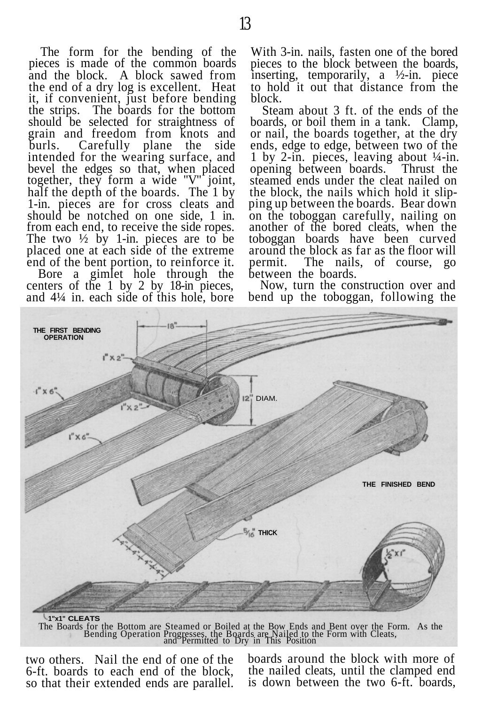The form for the bending of the pieces is made of the common boards and the block. A block sawed from the end of a dry log is excellent. Heat it, if convenient, just before bending the strips. The boards for the bottom should be selected for straightness of grain and freedom from knots and<br>burls. Carefully plane the side Carefully plane the side intended for the wearing surface, and bevel the edges so that, when placed together, they form a wide "V" joint, half the depth of the boards. The 1 by 1-in. pieces are for cross cleats and should be notched on one side, 1 in. from each end, to receive the side ropes. The two  $\frac{1}{2}$  by 1-in. pieces are to be placed one at each side of the extreme end of the bent portion, to reinforce it.

Bore a gimlet hole through the centers of the 1 by 2 by 18-in pieces, and 4¼ in. each side of this hole, bore With 3-in. nails, fasten one of the bored pieces to the block between the boards, inserting, temporarily, a ½-in. piece to hold it out that distance from the block.

Steam about 3 ft. of the ends of the boards, or boil them in a tank. Clamp, or nail, the boards together, at the dry ends, edge to edge, between two of the 1 by 2-in. pieces, leaving about ¼-in. opening between boards. Thrust the steamed ends under the cleat nailed on the block, the nails which hold it slipping up between the boards. Bear down on the toboggan carefully, nailing on another of the bored cleats, when the toboggan boards have been curved around the block as far as the floor will permit. The nails, of course, between the boards.

Now, turn the construction over and bend up the toboggan, following the



The Boards for the Bottom are Steamed or Boiled at the Bow Ends and Bent over the Form. As the Bending Operation Progresses, the Boards are Nailed to the Form with Cleats, and Permitted to Dry in This Position

two others. Nail the end of one of the 6-ft. boards to each end of the block, so that their extended ends are parallel. boards around the block with more of the nailed cleats, until the clamped end is down between the two 6-ft. boards,